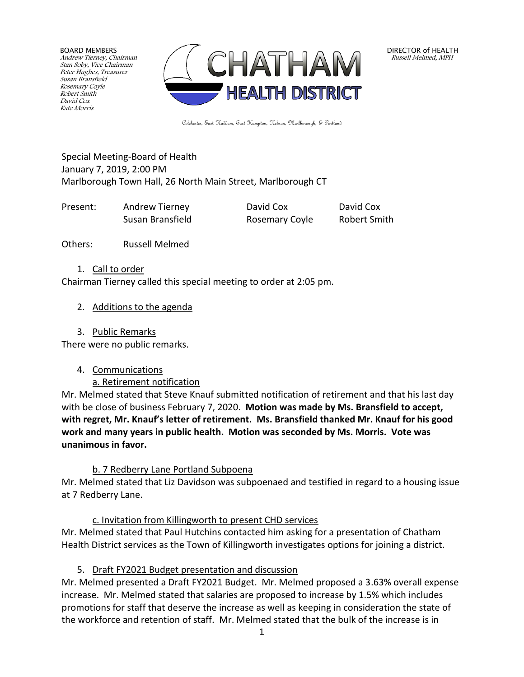BOARD MEMBERS Andrew Tierney, Chairman Stan Soby, Vice Chairman Peter Hughes, Treasurer Susan Bransfield Rosemary Coyle Robert Smith David Cox Kate Morris



DIRECTOR of HEALTH Russell Melmed, MPH

Colchester, East Haddam, East Hampton, Hebron, Marlborough, & Portland

Special Meeting-Board of Health January 7, 2019, 2:00 PM Marlborough Town Hall, 26 North Main Street, Marlborough CT

| Present: | Andrew Tierney   | David Cox      | David Cox           |
|----------|------------------|----------------|---------------------|
|          | Susan Bransfield | Rosemary Coyle | <b>Robert Smith</b> |

Others: Russell Melmed

#### 1. Call to order

Chairman Tierney called this special meeting to order at 2:05 pm.

2. Additions to the agenda

# 3. Public Remarks

There were no public remarks.

4. Communications

a. Retirement notification

Mr. Melmed stated that Steve Knauf submitted notification of retirement and that his last day with be close of business February 7, 2020. **Motion was made by Ms. Bransfield to accept, with regret, Mr. Knauf's letter of retirement. Ms. Bransfield thanked Mr. Knauf for his good work and many years in public health. Motion was seconded by Ms. Morris. Vote was unanimous in favor.**

# b. 7 Redberry Lane Portland Subpoena

Mr. Melmed stated that Liz Davidson was subpoenaed and testified in regard to a housing issue at 7 Redberry Lane.

# c. Invitation from Killingworth to present CHD services

Mr. Melmed stated that Paul Hutchins contacted him asking for a presentation of Chatham Health District services as the Town of Killingworth investigates options for joining a district.

# 5. Draft FY2021 Budget presentation and discussion

Mr. Melmed presented a Draft FY2021 Budget. Mr. Melmed proposed a 3.63% overall expense increase. Mr. Melmed stated that salaries are proposed to increase by 1.5% which includes promotions for staff that deserve the increase as well as keeping in consideration the state of the workforce and retention of staff. Mr. Melmed stated that the bulk of the increase is in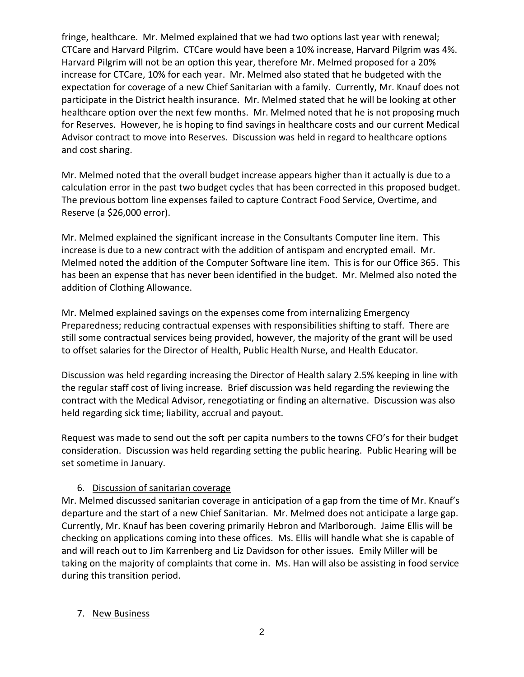fringe, healthcare. Mr. Melmed explained that we had two options last year with renewal; CTCare and Harvard Pilgrim. CTCare would have been a 10% increase, Harvard Pilgrim was 4%. Harvard Pilgrim will not be an option this year, therefore Mr. Melmed proposed for a 20% increase for CTCare, 10% for each year. Mr. Melmed also stated that he budgeted with the expectation for coverage of a new Chief Sanitarian with a family. Currently, Mr. Knauf does not participate in the District health insurance. Mr. Melmed stated that he will be looking at other healthcare option over the next few months. Mr. Melmed noted that he is not proposing much for Reserves. However, he is hoping to find savings in healthcare costs and our current Medical Advisor contract to move into Reserves. Discussion was held in regard to healthcare options and cost sharing.

Mr. Melmed noted that the overall budget increase appears higher than it actually is due to a calculation error in the past two budget cycles that has been corrected in this proposed budget. The previous bottom line expenses failed to capture Contract Food Service, Overtime, and Reserve (a \$26,000 error).

Mr. Melmed explained the significant increase in the Consultants Computer line item. This increase is due to a new contract with the addition of antispam and encrypted email. Mr. Melmed noted the addition of the Computer Software line item. This is for our Office 365. This has been an expense that has never been identified in the budget. Mr. Melmed also noted the addition of Clothing Allowance.

Mr. Melmed explained savings on the expenses come from internalizing Emergency Preparedness; reducing contractual expenses with responsibilities shifting to staff. There are still some contractual services being provided, however, the majority of the grant will be used to offset salaries for the Director of Health, Public Health Nurse, and Health Educator.

Discussion was held regarding increasing the Director of Health salary 2.5% keeping in line with the regular staff cost of living increase. Brief discussion was held regarding the reviewing the contract with the Medical Advisor, renegotiating or finding an alternative. Discussion was also held regarding sick time; liability, accrual and payout.

Request was made to send out the soft per capita numbers to the towns CFO's for their budget consideration. Discussion was held regarding setting the public hearing. Public Hearing will be set sometime in January.

#### 6. Discussion of sanitarian coverage

Mr. Melmed discussed sanitarian coverage in anticipation of a gap from the time of Mr. Knauf's departure and the start of a new Chief Sanitarian. Mr. Melmed does not anticipate a large gap. Currently, Mr. Knauf has been covering primarily Hebron and Marlborough. Jaime Ellis will be checking on applications coming into these offices. Ms. Ellis will handle what she is capable of and will reach out to Jim Karrenberg and Liz Davidson for other issues. Emily Miller will be taking on the majority of complaints that come in. Ms. Han will also be assisting in food service during this transition period.

#### 7. New Business